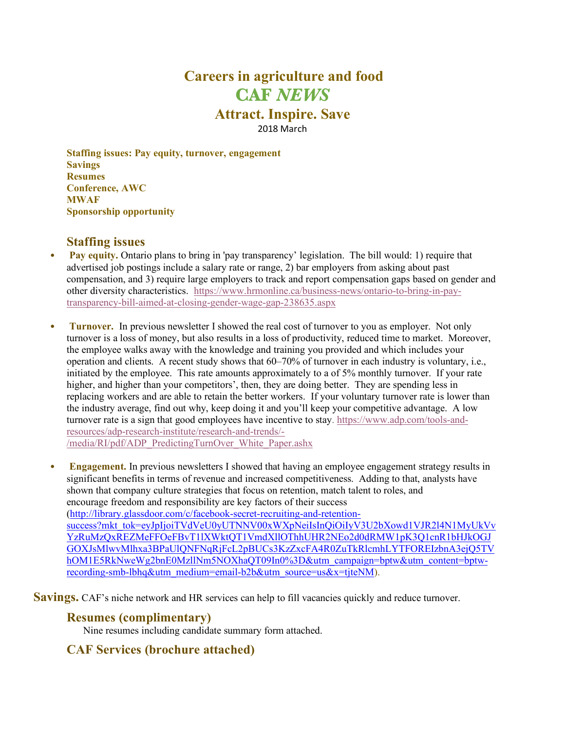# **Careers in agriculture and food CAF** *NEWS* **Attract. Inspire. Save** 2018 March

**Staffing issues: Pay equity, turnover, engagement Savings Resumes Conference, AWC MWAF Sponsorship opportunity**

## **Staffing issues**

- **Pay equity.** Ontario plans to bring in 'pay transparency' legislation. The bill would: 1) require that advertised job postings include a salary rate or range, 2) bar employers from asking about past compensation, and 3) require large employers to track and report compensation gaps based on gender and other diversity characteristics. https://www.hrmonline.ca/business-news/ontario-to-bring-in-paytransparency-bill-aimed-at-closing-gender-wage-gap-238635.aspx
- **Turnover.** In previous newsletter I showed the real cost of turnover to you as employer. Not only turnover is a loss of money, but also results in a loss of productivity, reduced time to market. Moreover, the employee walks away with the knowledge and training you provided and which includes your operation and clients. A recent study shows that 60–70% of turnover in each industry is voluntary, i.e., initiated by the employee. This rate amounts approximately to a of 5% monthly turnover. If your rate higher, and higher than your competitors', then, they are doing better. They are spending less in replacing workers and are able to retain the better workers. If your voluntary turnover rate is lower than the industry average, find out why, keep doing it and you'll keep your competitive advantage. A low turnover rate is a sign that good employees have incentive to stay. https://www.adp.com/tools-andresources/adp-research-institute/research-and-trends/- /media/RI/pdf/ADP\_PredictingTurnOver\_White\_Paper.ashx

• **Engagement.** In previous newsletters I showed that having an employee engagement strategy results in significant benefits in terms of revenue and increased competitiveness. Adding to that, analysts have shown that company culture strategies that focus on retention, match talent to roles, and encourage freedom and responsibility are key factors of their success (http://library.glassdoor.com/c/facebook-secret-recruiting-and-retentionsuccess?mkt\_tok=eyJpIjoiTVdVeU0yUTNNV00xWXpNeiIsInQiOiIyV3U2bXowd1VJR2l4N1MyUkVv YzRuMzQxREZMeFFOeFBvT1lXWktQT1VmdXllOThhUHR2NEo2d0dRMW1pK3Q1cnR1bHJkOGJ GOXJsMlwvMlhxa3BPaUlQNFNqRjFcL2pBUCs3KzZxcFA4R0ZuTkRlcmhLYTFOREIzbnA3ejQ5TV hOM1E5RkNweWg2bnE0MzllNm5NOXhaQT09In0%3D&utm\_campaign=bptw&utm\_content=bptwrecording-smb-lbhq&utm\_medium=email-b2b&utm\_source=us&x=tjteNM).

**Savings.** CAF's niche network and HR services can help to fill vacancies quickly and reduce turnover.

## **Resumes (complimentary)**

Nine resumes including candidate summary form attached.

## **CAF Services (brochure attached)**